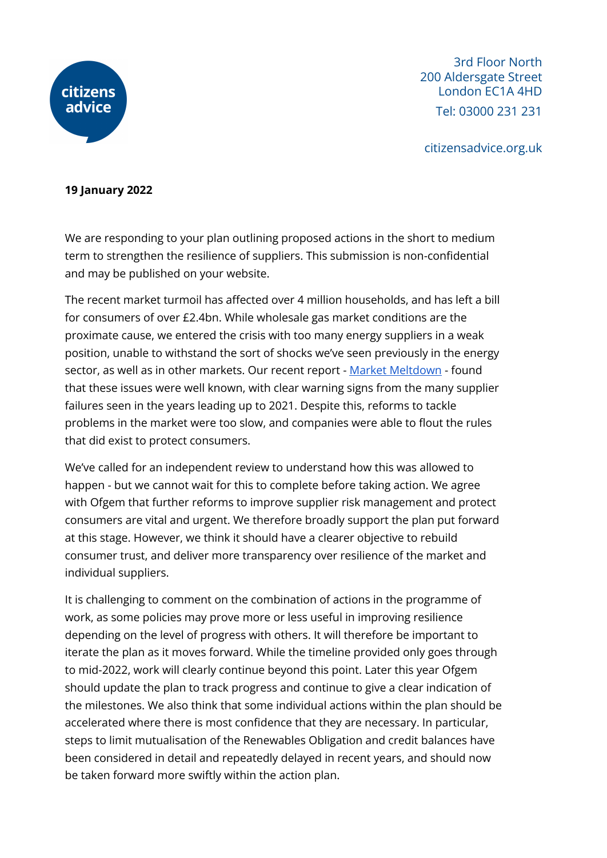

3rd Floor North 200 Aldersgate Street London EC1A 4HD Tel: 03000 231 231

citizensadvice.org.uk

#### **19 January 2022**

We are responding to your plan outlining proposed actions in the short to medium term to strengthen the resilience of suppliers. This submission is non-confidential and may be published on your website.

The recent market turmoil has affected over 4 million households, and has left a bill for consumers of over £2.4bn. While wholesale gas market conditions are the proximate cause, we entered the crisis with too many energy suppliers in a weak position, unable to withstand the sort of shocks we've seen previously in the energy sector, as well as in other markets. Our recent report - Market [Meltdown](https://www.citizensadvice.org.uk/about-us/our-work/policy/policy-research-topics/energy-policy-research-and-consultation-responses/energy-policy-research/market-meltdown-how-regulatory-failures-landed-us-with-a-multi-billion-pound-bill/) - found that these issues were well known, with clear warning signs from the many supplier failures seen in the years leading up to 2021. Despite this, reforms to tackle problems in the market were too slow, and companies were able to flout the rules that did exist to protect consumers.

We've called for an independent review to understand how this was allowed to happen - but we cannot wait for this to complete before taking action. We agree with Ofgem that further reforms to improve supplier risk management and protect consumers are vital and urgent. We therefore broadly support the plan put forward at this stage. However, we think it should have a clearer objective to rebuild consumer trust, and deliver more transparency over resilience of the market and individual suppliers.

It is challenging to comment on the combination of actions in the programme of work, as some policies may prove more or less useful in improving resilience depending on the level of progress with others. It will therefore be important to iterate the plan as it moves forward. While the timeline provided only goes through to mid-2022, work will clearly continue beyond this point. Later this year Ofgem should update the plan to track progress and continue to give a clear indication of the milestones. We also think that some individual actions within the plan should be accelerated where there is most confidence that they are necessary. In particular, steps to limit mutualisation of the Renewables Obligation and credit balances have been considered in detail and repeatedly delayed in recent years, and should now be taken forward more swiftly within the action plan.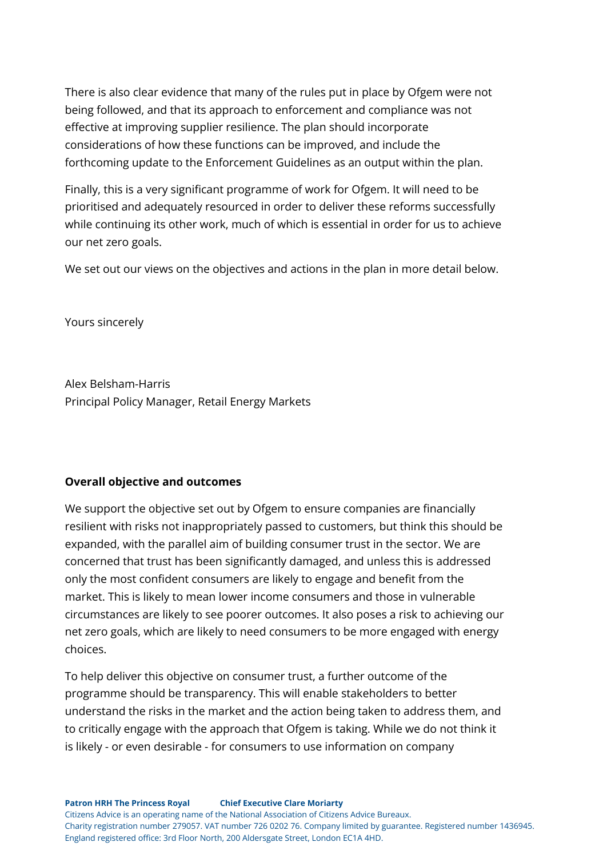There is also clear evidence that many of the rules put in place by Ofgem were not being followed, and that its approach to enforcement and compliance was not effective at improving supplier resilience. The plan should incorporate considerations of how these functions can be improved, and include the forthcoming update to the Enforcement Guidelines as an output within the plan.

Finally, this is a very significant programme of work for Ofgem. It will need to be prioritised and adequately resourced in order to deliver these reforms successfully while continuing its other work, much of which is essential in order for us to achieve our net zero goals.

We set out our views on the objectives and actions in the plan in more detail below.

Yours sincerely

Alex Belsham-Harris Principal Policy Manager, Retail Energy Markets

#### **Overall objective and outcomes**

We support the objective set out by Ofgem to ensure companies are financially resilient with risks not inappropriately passed to customers, but think this should be expanded, with the parallel aim of building consumer trust in the sector. We are concerned that trust has been significantly damaged, and unless this is addressed only the most confident consumers are likely to engage and benefit from the market. This is likely to mean lower income consumers and those in vulnerable circumstances are likely to see poorer outcomes. It also poses a risk to achieving our net zero goals, which are likely to need consumers to be more engaged with energy choices.

To help deliver this objective on consumer trust, a further outcome of the programme should be transparency. This will enable stakeholders to better understand the risks in the market and the action being taken to address them, and to critically engage with the approach that Ofgem is taking. While we do not think it is likely - or even desirable - for consumers to use information on company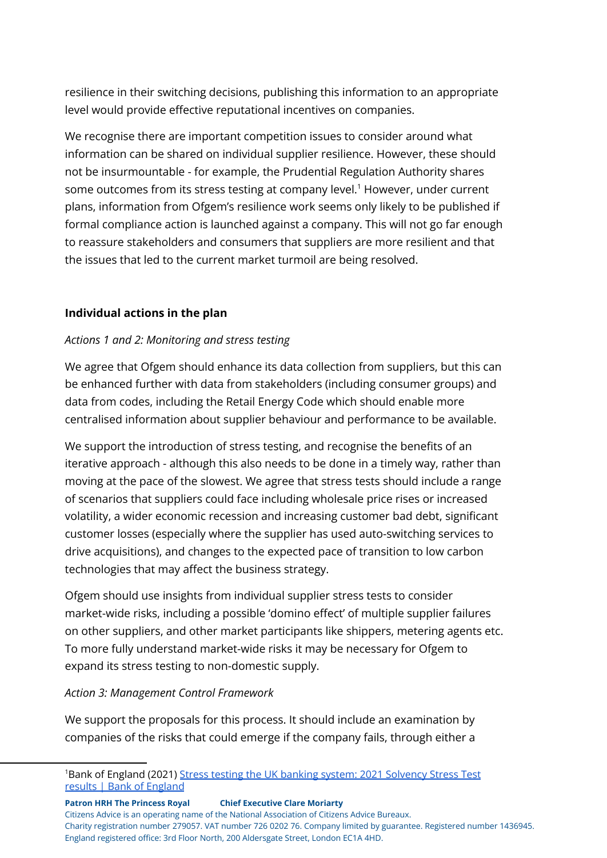resilience in their switching decisions, publishing this information to an appropriate level would provide effective reputational incentives on companies.

We recognise there are important competition issues to consider around what information can be shared on individual supplier resilience. However, these should not be insurmountable - for example, the Prudential Regulation Authority shares some outcomes from its stress testing at company level.<sup>1</sup> However, under current plans, information from Ofgem's resilience work seems only likely to be published if formal compliance action is launched against a company. This will not go far enough to reassure stakeholders and consumers that suppliers are more resilient and that the issues that led to the current market turmoil are being resolved.

## **Individual actions in the plan**

## *Actions 1 and 2: Monitoring and stress testing*

We agree that Ofgem should enhance its data collection from suppliers, but this can be enhanced further with data from stakeholders (including consumer groups) and data from codes, including the Retail Energy Code which should enable more centralised information about supplier behaviour and performance to be available.

We support the introduction of stress testing, and recognise the benefits of an iterative approach - although this also needs to be done in a timely way, rather than moving at the pace of the slowest. We agree that stress tests should include a range of scenarios that suppliers could face including wholesale price rises or increased volatility, a wider economic recession and increasing customer bad debt, significant customer losses (especially where the supplier has used auto-switching services to drive acquisitions), and changes to the expected pace of transition to low carbon technologies that may affect the business strategy.

Ofgem should use insights from individual supplier stress tests to consider market-wide risks, including a possible 'domino effect' of multiple supplier failures on other suppliers, and other market participants like shippers, metering agents etc. To more fully understand market-wide risks it may be necessary for Ofgem to expand its stress testing to non-domestic supply.

#### *Action 3: Management Control Framework*

We support the proposals for this process. It should include an examination by companies of the risks that could emerge if the company fails, through either a

**Patron HRH The Princess Royal Chief Executive Clare Moriarty** Citizens Advice is an operating name of the National Association of Citizens Advice Bureaux. Charity registration number 279057. VAT number 726 0202 76. Company limited by guarantee. Registered number 1436945. England registered office: 3rd Floor North, 200 Aldersgate Street, London EC1A 4HD.

<sup>1</sup>Bank of England (2021) Stress testing the UK banking system: 2021 [Solvency](https://www.bankofengland.co.uk/stress-testing/2021/bank-of-england-stress-testing-results) Stress Test results | Bank of [England](https://www.bankofengland.co.uk/stress-testing/2021/bank-of-england-stress-testing-results)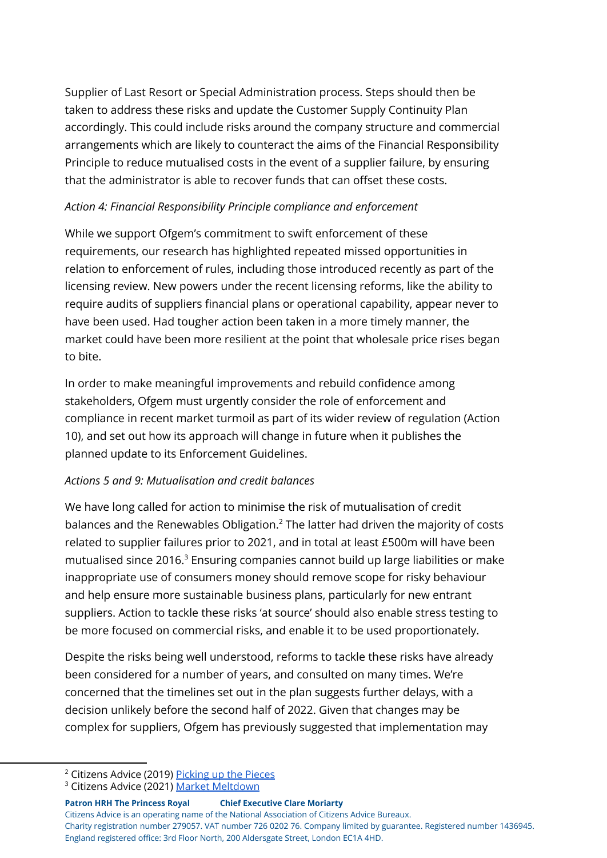Supplier of Last Resort or Special Administration process. Steps should then be taken to address these risks and update the Customer Supply Continuity Plan accordingly. This could include risks around the company structure and commercial arrangements which are likely to counteract the aims of the Financial Responsibility Principle to reduce mutualised costs in the event of a supplier failure, by ensuring that the administrator is able to recover funds that can offset these costs.

### *Action 4: Financial Responsibility Principle compliance and enforcement*

While we support Ofgem's commitment to swift enforcement of these requirements, our research has highlighted repeated missed opportunities in relation to enforcement of rules, including those introduced recently as part of the licensing review. New powers under the recent licensing reforms, like the ability to require audits of suppliers financial plans or operational capability, appear never to have been used. Had tougher action been taken in a more timely manner, the market could have been more resilient at the point that wholesale price rises began to bite.

In order to make meaningful improvements and rebuild confidence among stakeholders, Ofgem must urgently consider the role of enforcement and compliance in recent market turmoil as part of its wider review of regulation (Action 10), and set out how its approach will change in future when it publishes the planned update to its Enforcement Guidelines.

# *Actions 5 and 9: Mutualisation and credit balances*

We have long called for action to minimise the risk of mutualisation of credit balances and the Renewables Obligation. $2$  The latter had driven the majority of costs related to supplier failures prior to 2021, and in total at least £500m will have been mutualised since 2016. $3$  Ensuring companies cannot build up large liabilities or make inappropriate use of consumers money should remove scope for risky behaviour and help ensure more sustainable business plans, particularly for new entrant suppliers. Action to tackle these risks 'at source' should also enable stress testing to be more focused on commercial risks, and enable it to be used proportionately.

Despite the risks being well understood, reforms to tackle these risks have already been considered for a number of years, and consulted on many times. We're concerned that the timelines set out in the plan suggests further delays, with a decision unlikely before the second half of 2022. Given that changes may be complex for suppliers, Ofgem has previously suggested that implementation may

**Patron HRH The Princess Royal Chief Executive Clare Moriarty** Citizens Advice is an operating name of the National Association of Citizens Advice Bureaux. Charity registration number 279057. VAT number 726 0202 76. Company limited by guarantee. Registered number 1436945. England registered office: 3rd Floor North, 200 Aldersgate Street, London EC1A 4HD.

<sup>&</sup>lt;sup>2</sup> Citizens Advice (2019) [Picking](https://www.citizensadvice.org.uk/about-us/our-work/policy/policy-research-topics/energy-policy-research-and-consultation-responses/energy-policy-research/picking-up-the-pieces/) up the Pieces

<sup>&</sup>lt;sup>3</sup> Citizens Advice (2021) Market [Meltdown](https://www.citizensadvice.org.uk/about-us/our-work/policy/policy-research-topics/energy-policy-research-and-consultation-responses/energy-policy-research/market-meltdown-how-regulatory-failures-landed-us-with-a-multi-billion-pound-bill/)